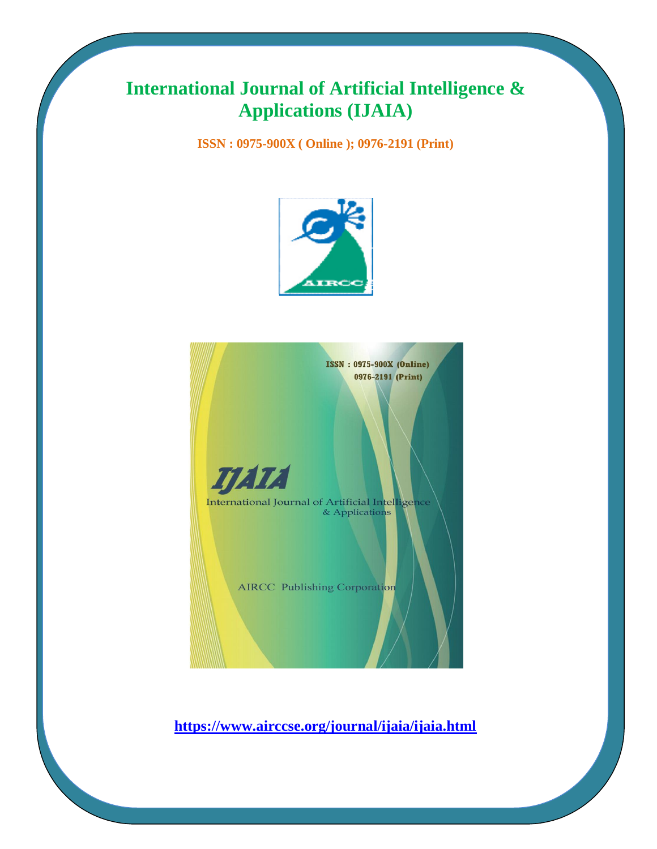# **International Journal of Artificial Intelligence & Applications (IJAIA)**

**ISSN : 0975-900X ( Online ); 0976-2191 (Print)**



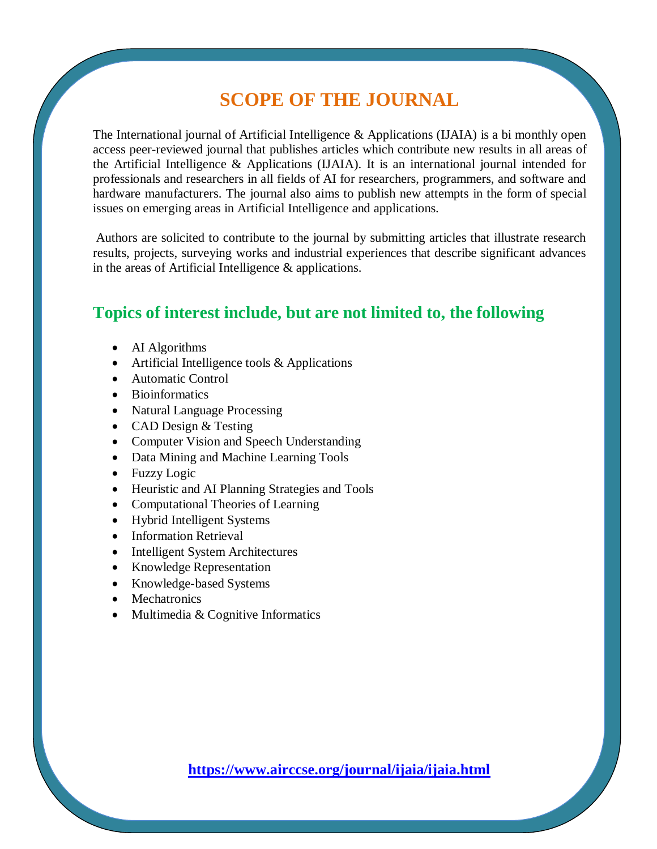# **SCOPE OF THE JOURNAL**

The International journal of Artificial Intelligence & Applications (IJAIA) is a bi monthly open access peer-reviewed journal that publishes articles which contribute new results in all areas of the Artificial Intelligence & Applications (IJAIA). It is an international journal intended for professionals and researchers in all fields of AI for researchers, programmers, and software and hardware manufacturers. The journal also aims to publish new attempts in the form of special issues on emerging areas in Artificial Intelligence and applications.

Authors are solicited to contribute to the journal by submitting articles that illustrate research results, projects, surveying works and industrial experiences that describe significant advances in the areas of Artificial Intelligence & applications.

### **Topics of interest include, but are not limited to, the following**

- AI Algorithms
- Artificial Intelligence tools & Applications
- Automatic Control
- Bioinformatics
- Natural Language Processing
- CAD Design & Testing
- Computer Vision and Speech Understanding
- Data Mining and Machine Learning Tools
- Fuzzy Logic
- Heuristic and AI Planning Strategies and Tools
- Computational Theories of Learning
- Hybrid Intelligent Systems
- Information Retrieval
- Intelligent System Architectures
- Knowledge Representation
- Knowledge-based Systems
- Mechatronics
- Multimedia & Cognitive Informatics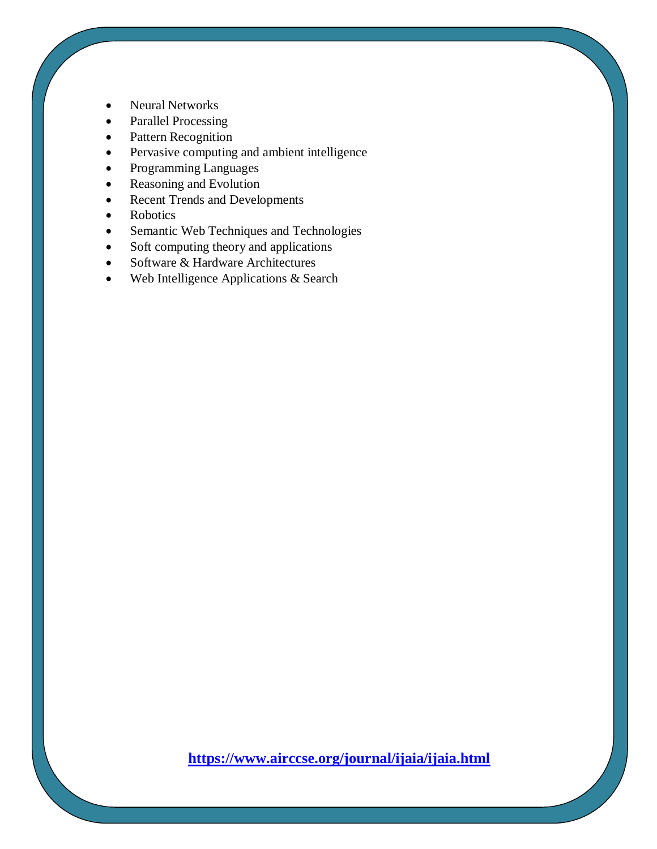- Neural Networks
- Parallel Processing
- Pattern Recognition
- Pervasive computing and ambient intelligence
- Programming Languages
- Reasoning and Evolution
- Recent Trends and Developments
- Robotics
- Semantic Web Techniques and Technologies
- Soft computing theory and applications
- Software & Hardware Architectures
- Web Intelligence Applications & Search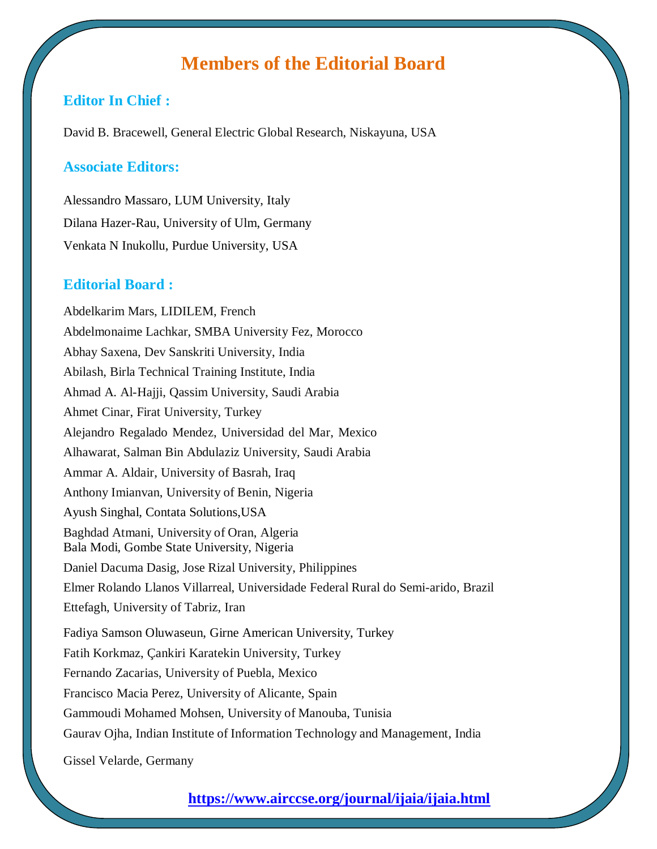### **Members of the Editorial Board**

### **Editor In Chief :**

David B. Bracewell, General Electric Global Research, Niskayuna, USA

#### **Associate Editors:**

Alessandro Massaro, LUM University, Italy Dilana Hazer-Rau, University of Ulm, Germany Venkata N Inukollu, Purdue University, USA

### **Editorial Board :**

Abdelkarim Mars, LIDILEM, French Abdelmonaime Lachkar, SMBA University Fez, Morocco Abhay Saxena, Dev Sanskriti University, India Abilash, Birla Technical Training Institute, India Ahmad A. Al-Hajji, Qassim University, Saudi Arabia Ahmet Cinar, Firat University, Turkey Alejandro Regalado Mendez, Universidad del Mar, Mexico Alhawarat, Salman Bin Abdulaziz University, Saudi Arabia Ammar A. Aldair, University of Basrah, Iraq Anthony Imianvan, University of Benin, Nigeria Ayush Singhal, Contata Solutions,USA Baghdad Atmani, University of Oran, Algeria Bala Modi, Gombe State University, Nigeria Daniel Dacuma Dasig, Jose Rizal University, Philippines Elmer Rolando Llanos Villarreal, Universidade Federal Rural do Semi-arido, Brazil Ettefagh, University of Tabriz, Iran Fadiya Samson Oluwaseun, Girne American University, Turkey Fatih Korkmaz, Çankiri Karatekin University, Turkey Fernando Zacarias, University of Puebla, Mexico Francisco Macia Perez, University of Alicante, Spain Gammoudi Mohamed Mohsen, University of Manouba, Tunisia Gaurav Ojha, Indian Institute of Information Technology and Management, India

Gissel Velarde, Germany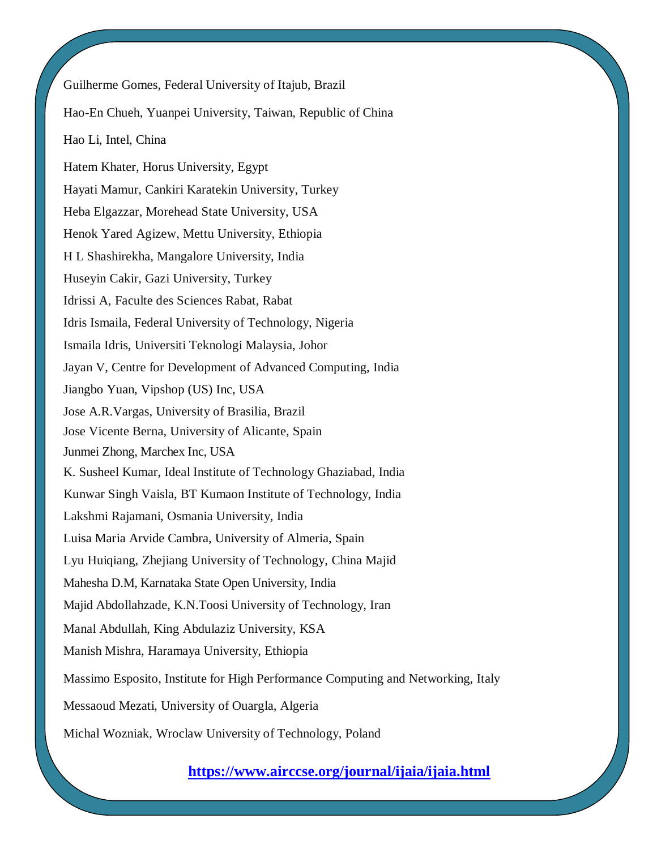Guilherme Gomes, Federal University of Itajub, Brazil Hao-En Chueh, Yuanpei University, Taiwan, Republic of China Hao Li, Intel, China Hatem Khater, Horus University, Egypt Hayati Mamur, Cankiri Karatekin University, Turkey Heba Elgazzar, Morehead State University, USA Henok Yared Agizew, Mettu University, Ethiopia H L Shashirekha, Mangalore University, India Huseyin Cakir, Gazi University, Turkey Idrissi A, Faculte des Sciences Rabat, Rabat Idris Ismaila, Federal University of Technology, Nigeria Ismaila Idris, Universiti Teknologi Malaysia, Johor Jayan V, Centre for Development of Advanced Computing, India Jiangbo Yuan, Vipshop (US) Inc, USA Jose A.R.Vargas, University of Brasilia, Brazil Jose Vicente Berna, University of Alicante, Spain Junmei Zhong, Marchex Inc, USA K. Susheel Kumar, Ideal Institute of Technology Ghaziabad, India Kunwar Singh Vaisla, BT Kumaon Institute of Technology, India Lakshmi Rajamani, Osmania University, India Luisa Maria Arvide Cambra, University of Almeria, Spain Lyu Huiqiang, Zhejiang University of Technology, China Majid Mahesha D.M, Karnataka State Open University, India Majid Abdollahzade, K.N.Toosi University of Technology, Iran Manal Abdullah, King Abdulaziz University, KSA Manish Mishra, Haramaya University, Ethiopia Massimo Esposito, Institute for High Performance Computing and Networking, Italy Messaoud Mezati, University of Ouargla, Algeria Michal Wozniak, Wroclaw University of Technology, Poland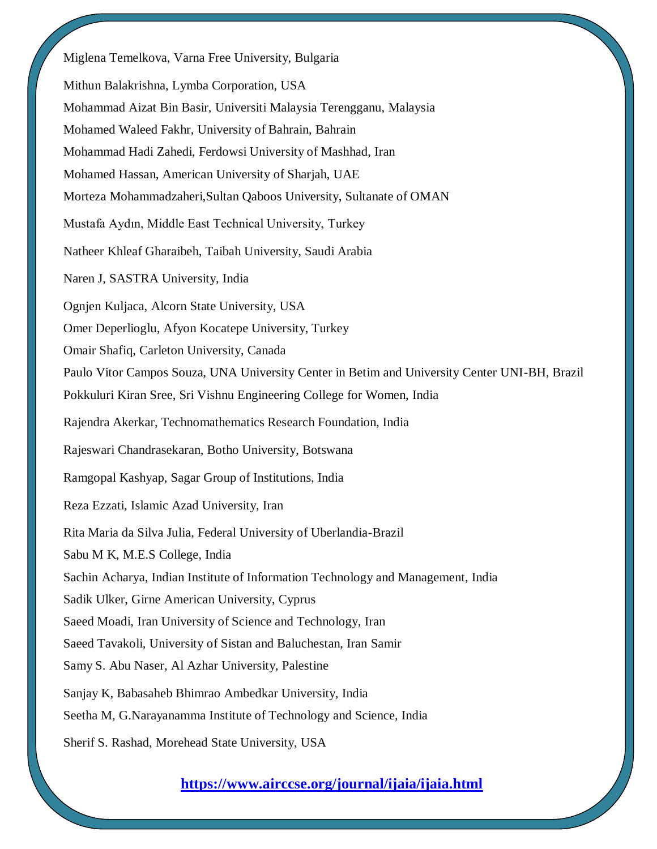Miglena Temelkova, Varna Free University, Bulgaria Mithun Balakrishna, Lymba Corporation, USA Mohammad Aizat Bin Basir, Universiti Malaysia Terengganu, Malaysia Mohamed Waleed Fakhr, University of Bahrain, Bahrain Mohammad Hadi Zahedi, Ferdowsi University of Mashhad, Iran Mohamed Hassan, American University of Sharjah, UAE Morteza Mohammadzaheri,Sultan Qaboos University, Sultanate of OMAN Mustafa Aydın, Middle East Technical University, Turkey Natheer Khleaf Gharaibeh, Taibah University, Saudi Arabia Naren J, SASTRA University, India Ognjen Kuljaca, Alcorn State University, USA Omer Deperlioglu, Afyon Kocatepe University, Turkey Omair Shafiq, Carleton University, Canada Paulo Vitor Campos Souza, UNA University Center in Betim and University Center UNI-BH, Brazil Pokkuluri Kiran Sree, Sri Vishnu Engineering College for Women, India Rajendra Akerkar, Technomathematics Research Foundation, India Rajeswari Chandrasekaran, Botho University, Botswana Ramgopal Kashyap, Sagar Group of Institutions, India Reza Ezzati, Islamic Azad University, Iran Rita Maria da Silva Julia, Federal University of Uberlandia-Brazil Sabu M K, M.E.S College, India Sachin Acharya, Indian Institute of Information Technology and Management, India Sadik Ulker, Girne American University, Cyprus Saeed Moadi, Iran University of Science and Technology, Iran Saeed Tavakoli, University of Sistan and Baluchestan, Iran Samir Samy S. Abu Naser, Al Azhar University, Palestine Sanjay K, Babasaheb Bhimrao Ambedkar University, India Seetha M, G.Narayanamma Institute of Technology and Science, India Sherif S. Rashad, Morehead State University, USA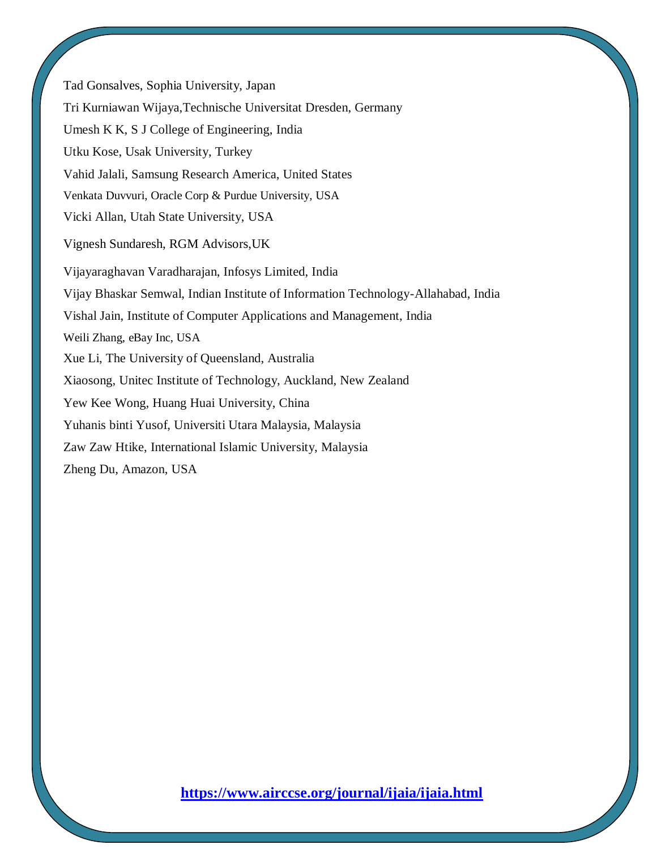Tad Gonsalves, Sophia University, Japan Tri Kurniawan Wijaya,Technische Universitat Dresden, Germany Umesh K K, S J College of Engineering, India Utku Kose, Usak University, Turkey Vahid Jalali, Samsung Research America, United States Venkata Duvvuri, Oracle Corp & Purdue University, USA Vicki Allan, Utah State University, USA Vignesh Sundaresh, RGM Advisors,UK Vijayaraghavan Varadharajan, Infosys Limited, India Vijay Bhaskar Semwal, Indian Institute of Information Technology-Allahabad, India Vishal Jain, Institute of Computer Applications and Management, India Weili Zhang, eBay Inc, USA Xue Li, The University of Queensland, Australia Xiaosong, Unitec Institute of Technology, Auckland, New Zealand Yew Kee Wong, Huang Huai University, China Yuhanis binti Yusof, Universiti Utara Malaysia, Malaysia Zaw Zaw Htike, International Islamic University, Malaysia Zheng Du, Amazon, USA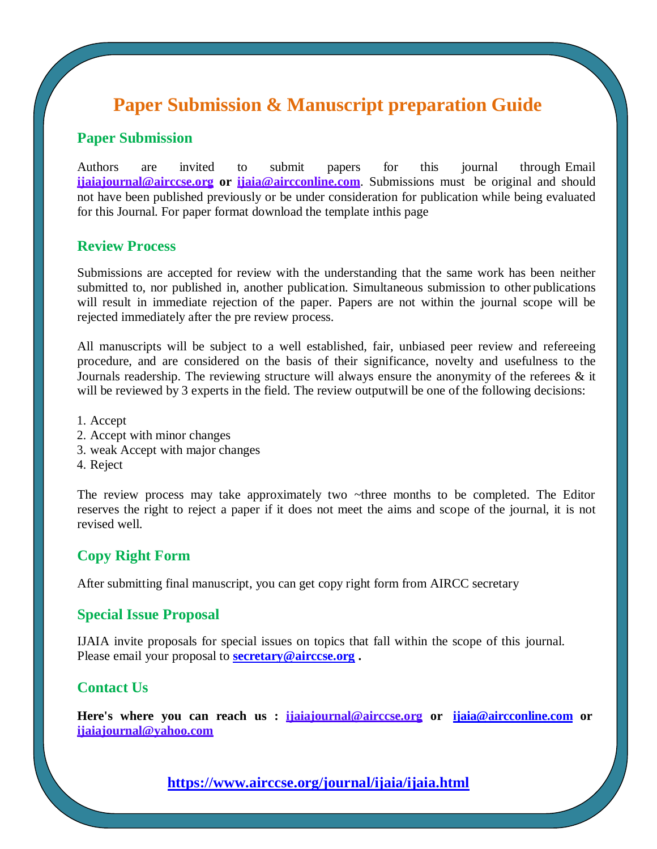## **Paper Submission & Manuscript preparation Guide**

### **Paper Submission**

Authors are invited to submit papers for this journal through Email **[ijaiajournal@airccse.org](mailto:ijaiajournal@airccse.org) or [ijaia@aircconline.com](mailto:ijaiajournal@yahoo.com)**. Submissions must be original and should not have been published previously or be under consideration for publication while being evaluated for this Journal. For paper format download the template inthis page

#### **Review Process**

Submissions are accepted for review with the understanding that the same work has been neither submitted to, nor published in, another publication. Simultaneous submission to other publications will result in immediate rejection of the paper. Papers are not within the journal scope will be rejected immediately after the pre review process.

All manuscripts will be subject to a well established, fair, unbiased peer review and refereeing procedure, and are considered on the basis of their significance, novelty and usefulness to the Journals readership. The reviewing structure will always ensure the anonymity of the referees  $\&$  it will be reviewed by 3 experts in the field. The review output will be one of the following decisions:

- 1. Accept
- 2. Accept with minor changes
- 3. weak Accept with major changes
- 4. Reject

The review process may take approximately two ~three months to be completed. The Editor reserves the right to reject a paper if it does not meet the aims and scope of the journal, it is not revised well.

### **Copy Right Form**

After submitting final manuscript, you can get copy right form from AIRCC secretary

#### **Special Issue Proposal**

IJAIA invite proposals for special issues on topics that fall within the scope of this journal. Please email your proposal to **[secretary@airccse.org](mailto:secretary@airccse.org) [.](mailto:secretary@airccse.org)**

### **Contact Us**

**Here's where you can reach us : [ijaiajournal@airccse.org](mailto:ijaiajournal@airccse.org) or [ijaia@aircconline.com](mailto:ijaia@aircconline.com) or [ijaiajournal@yahoo.com](mailto:ijaiajournal@yahoo.com)**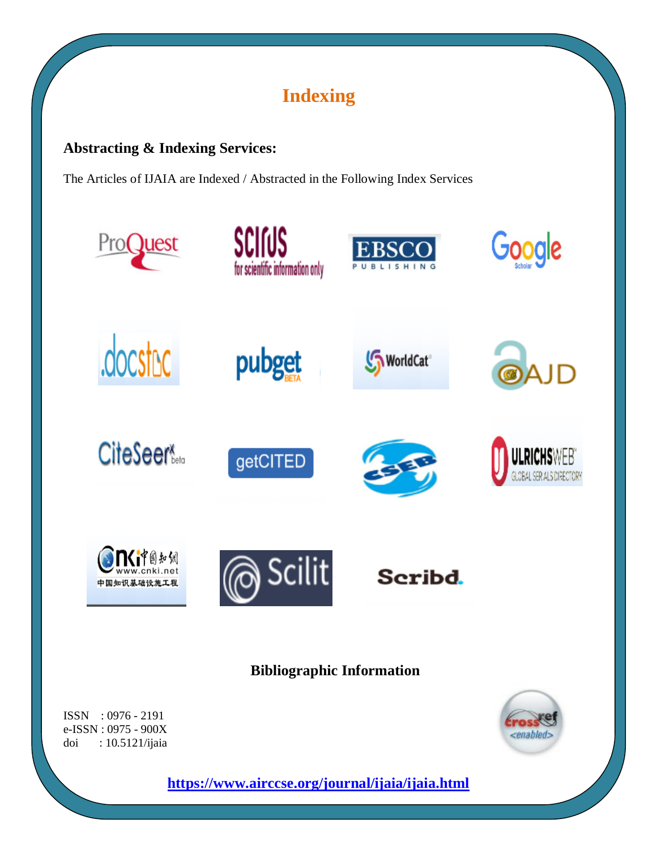# **Indexing**

### **Abstracting & Indexing Services:**

The Articles of IJAIA are Indexed / Abstracted in the Following Index Services



ISSN : 0976 - 2191 e-ISSN : 0975 - 900X doi : 10.5121/ijaia <enabled>